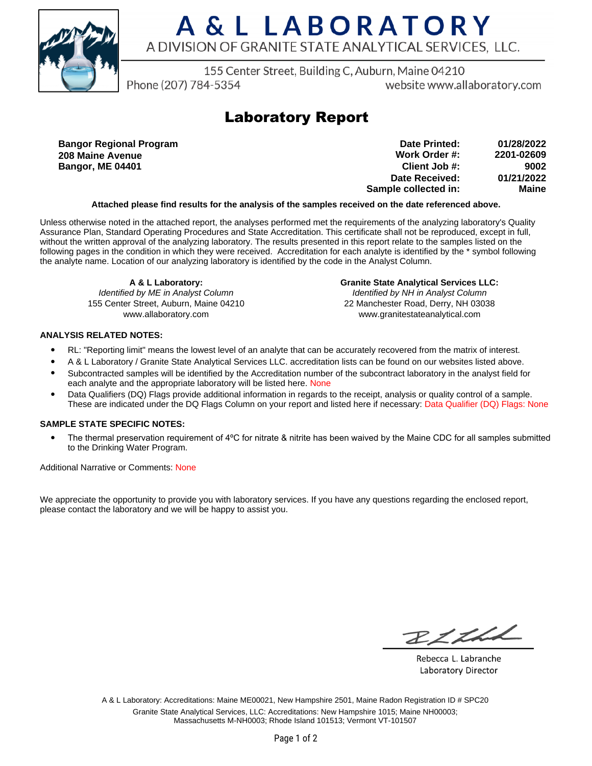

# A & L LABORATORY A DIVISION OF GRANITE STATE ANALYTICAL SERVICES. LLC.

155 Center Street, Building C, Auburn, Maine 04210

Phone (207) 784-5354

website www.allaboratory.com

## **Laboratory Report**

**Bangor Regional Program 208 Maine Avenue Bangor, ME 04401**

| 01/28/2022 | Date Printed:        |
|------------|----------------------|
| 2201-02609 | Work Order #:        |
| 9002       | Client Job #:        |
| 01/21/2022 | Date Received:       |
| Maine      | Sample collected in: |

### **Attached please find results for the analysis of the samples received on the date referenced above.**

Unless otherwise noted in the attached report, the analyses performed met the requirements of the analyzing laboratory's Quality Assurance Plan, Standard Operating Procedures and State Accreditation. This certificate shall not be reproduced, except in full, without the written approval of the analyzing laboratory. The results presented in this report relate to the samples listed on the following pages in the condition in which they were received. Accreditation for each analyte is identified by the \* symbol following the analyte name. Location of our analyzing laboratory is identified by the code in the Analyst Column.

**A & L Laboratory:** Identified by ME in Analyst Column 155 Center Street, Auburn, Maine 04210 www.allaboratory.com

**Granite State Analytical Services LLC:** Identified by NH in Analyst Column 22 Manchester Road, Derry, NH 03038 www.granitestateanalytical.com

### **ANALYSIS RELATED NOTES:**

- RL: "Reporting limit" means the lowest level of an analyte that can be accurately recovered from the matrix of interest.
- A & L Laboratory / Granite State Analytical Services LLC. accreditation lists can be found on our websites listed above.
- Subcontracted samples will be identified by the Accreditation number of the subcontract laboratory in the analyst field for each analyte and the appropriate laboratory will be listed here. None
- Data Qualifiers (DQ) Flags provide additional information in regards to the receipt, analysis or quality control of a sample. These are indicated under the DQ Flags Column on your report and listed here if necessary: Data Qualifier (DQ) Flags: None

### **SAMPLE STATE SPECIFIC NOTES:**

• The thermal preservation requirement of 4°C for nitrate & nitrite has been waived by the Maine CDC for all samples submitted to the Drinking Water Program.

Additional Narrative or Comments: None

We appreciate the opportunity to provide you with laboratory services. If you have any questions regarding the enclosed report, please contact the laboratory and we will be happy to assist you.

RICH

Rebecca L. Labranche Laboratory Director

A & L Laboratory: Accreditations: Maine ME00021, New Hampshire 2501, Maine Radon Registration ID # SPC20 Granite State Analytical Services, LLC: Accreditations: New Hampshire 1015; Maine NH00003; Massachusetts M-NH0003; Rhode Island 101513; Vermont VT-101507